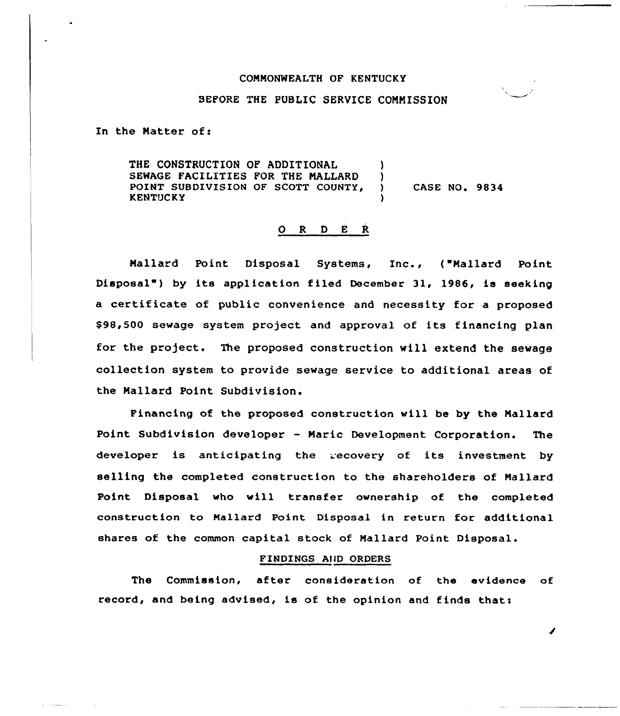## COMMONWEALTH OF KENTUCKY

## BEFORE THE PUBLIC SERVICE COMMISSION

In the Natter of:

THE CONSTRUCTION OF ADDITIONAL SEWAGE FACILITIES FOR THE NALLARD POINT SUBDIVISION OF SCOTT COUNTY,<br>KENTUCKY ) ) ) CASE NO. 9834 )

## 0 <sup>R</sup> <sup>D</sup> <sup>E</sup> <sup>R</sup>

Nallard Point Disposal Systems, Inc., ( Mallard Point Disposal") by its application filed December 31, 1986, is seeking a certificate of public convenience and necessity for a proposed 898,500 sewage system project and approval of its financing plan for the project. The proposed construction will extend the sewage collection system to provide sewage service to additional areas of the Nallard Point Subdivision.

Financing of the proposed construction will be by the Mallard Point Subdivision developer — Marie Development Corporation. The developer is anticipating the recovery of its investment by selling the completed construction to the shareholders of Mallard Point Disposal who will transfer ownership of the completed construction to Mallard Point Disposal in return for additional shares of the common capital stock of Mallard Point Disposal.

## FINDINGS AllD ORDERS

The Commission, after consideration of the evidence of record, and being advised, is of the opinion and finds that:

I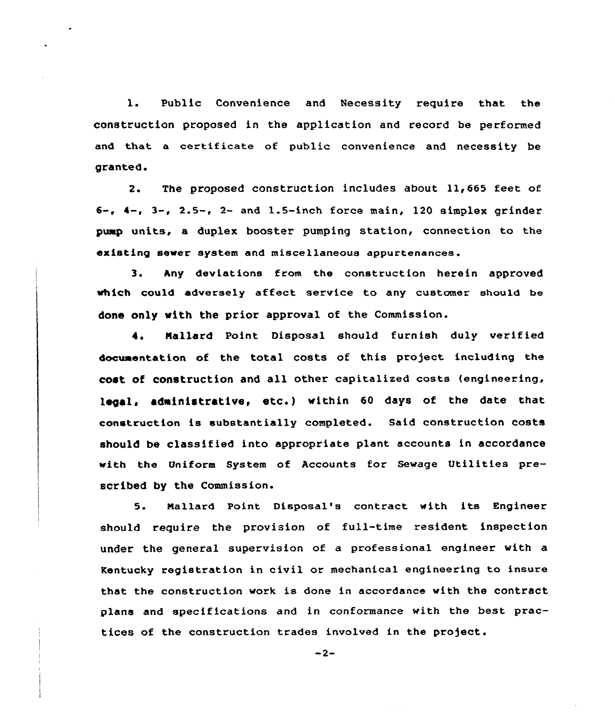1. Public Convenience and Necessity require that the construction proposed in the application and record be performed and that a certificate of public convenience and necessity be granted.

2. The proposed construction includes about 11,665 feet of  $6-$ ,  $4-$ ,  $3-$ ,  $2.5-$ ,  $2-$  and  $1.5-$ inch force main, 120 simplex grinder pump units, a duplex booster pumping station, connection to the existing sewer system and miscellaneous appurtenances.

3. hny deviations from the construction herein approved which could adversely affect service to any customer should be done only with the prior approval of the Commission.

I. Nallard Point Disposal should furnish duly verified documentation of the total costs of this project including the cost of construction and all other capitalized costs {engineering, legal, administrative, etc.) within <sup>60</sup> days of the date that construction is substantially completed. Said construction costs should be classified into appropriate plant accounts in accordance with the Uniform System of Accounts for Sewage Utilities prescribed by the Commission.

5. Mallard Point Disposal's contract with its Engineer should require the provision of full-time resident inspection under the general supervision of a professional engineer with a Kentucky registration in civil or mechanical engineering to insure that the construction work is done in accordance with the contract plans and specifications and in conformance with the best practices of the construction trades involved in the project.

 $-2-$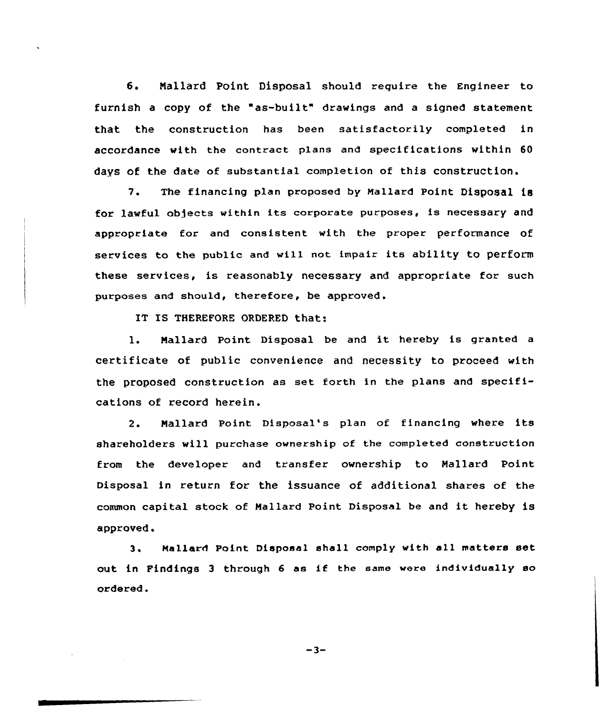6. Nallard Point Disposal should require the Engineer to furnish <sup>a</sup> copy of the "as-built" drawings and <sup>a</sup> signed statement that the construction has been satisfactorily completed in accordance with the contract plans and specifications within 60 days of the date of substantial completion of this construction.

7. The financing plan proposed by Mallard Point Disposal is for lawful objects within its corporate purposes, is necessary and appropriate for and consistent with the proper performance of services to the public and will not impair its ability to perform these services, is reasonably necessary and appropriate for such purposes and should, therefore, be approved.

IT IS THEREFORE ORDERED that:

1. Nallard Point, Disposal be and it hereby is granted <sup>a</sup> certificate of public convenience and necessity to proceed with the proposed construction as set forth in the plans and specifications of record herein.

2. Mallard Point Disposal's plan of financing where its shareholders will purchase ownership of the completed construction from the developer and transfer ownership to Mallard Point Disposal in return for the issuance of additional shares of the common capital stock of Mallard Point Disposal be and it hereby is approved.

3. Mallard Point Disposal shall comply with all matters set out in Findings <sup>3</sup> through <sup>6</sup> as if the same were individually so ordered.

 $-3-$